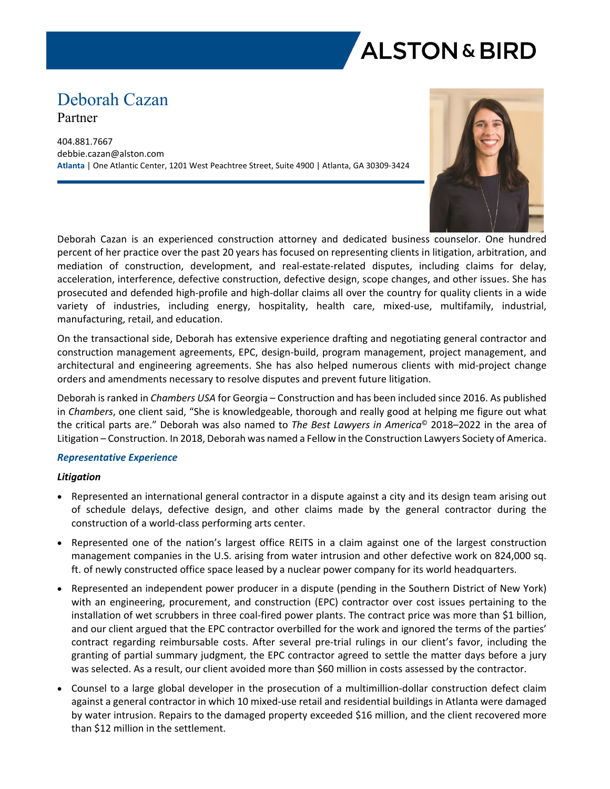

# Deborah Cazan Partner

404.881.7667 debbie.cazan@alston.com **Atlanta** | One Atlantic Center, 1201 West Peachtree Street, Suite 4900 | Atlanta, GA 30309-3424



Deborah Cazan is an experienced construction attorney and dedicated business counselor. One hundred percent of her practice over the past 20 years has focused on representing clients in litigation, arbitration, and mediation of construction, development, and real-estate-related disputes, including claims for delay, acceleration, interference, defective construction, defective design, scope changes, and other issues. She has prosecuted and defended high-profile and high-dollar claims all over the country for quality clients in a wide variety of industries, including energy, hospitality, health care, mixed-use, multifamily, industrial, manufacturing, retail, and education.

On the transactional side, Deborah has extensive experience drafting and negotiating general contractor and construction management agreements, EPC, design-build, program management, project management, and architectural and engineering agreements. She has also helped numerous clients with mid-project change orders and amendments necessary to resolve disputes and prevent future litigation.

Deborah is ranked in *Chambers USA* for Georgia – Construction and has been included since 2016. As published in *Chambers*, one client said, "She is knowledgeable, thorough and really good at helping me figure out what the critical parts are." Deborah was also named to *The Best Lawyers in America*© 2018–2022 in the area of Litigation – Construction. In 2018, Deborah was named a Fellow in the Construction Lawyers Society of America.

#### *Representative Experience*

#### *Litigation*

- Represented an international general contractor in a dispute against a city and its design team arising out of schedule delays, defective design, and other claims made by the general contractor during the construction of a world-class performing arts center.
- Represented one of the nation's largest office REITS in a claim against one of the largest construction management companies in the U.S. arising from water intrusion and other defective work on 824,000 sq. ft. of newly constructed office space leased by a nuclear power company for its world headquarters.
- Represented an independent power producer in a dispute (pending in the Southern District of New York) with an engineering, procurement, and construction (EPC) contractor over cost issues pertaining to the installation of wet scrubbers in three coal-fired power plants. The contract price was more than \$1 billion, and our client argued that the EPC contractor overbilled for the work and ignored the terms of the parties' contract regarding reimbursable costs. After several pre-trial rulings in our client's favor, including the granting of partial summary judgment, the EPC contractor agreed to settle the matter days before a jury was selected. As a result, our client avoided more than \$60 million in costs assessed by the contractor.
- Counsel to a large global developer in the prosecution of a multimillion-dollar construction defect claim against a general contractor in which 10 mixed-use retail and residential buildings in Atlanta were damaged by water intrusion. Repairs to the damaged property exceeded \$16 million, and the client recovered more than \$12 million in the settlement.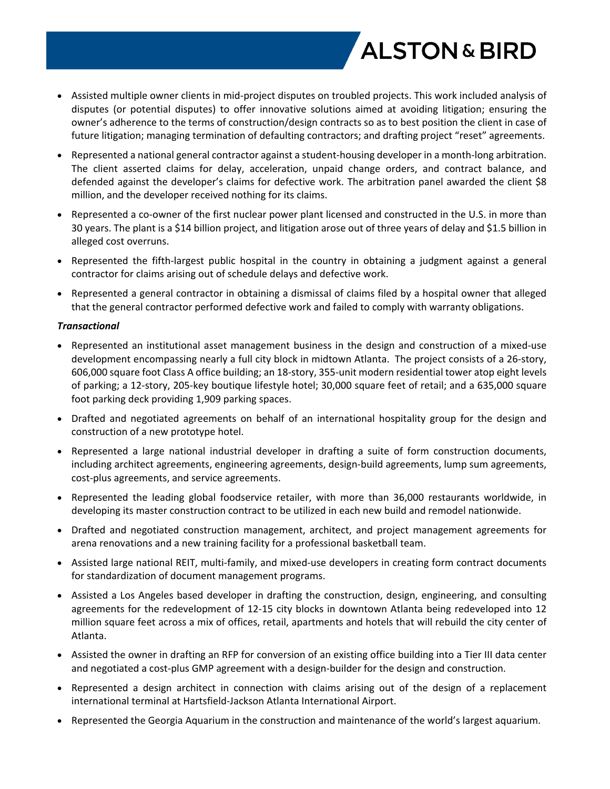

- Assisted multiple owner clients in mid-project disputes on troubled projects. This work included analysis of disputes (or potential disputes) to offer innovative solutions aimed at avoiding litigation; ensuring the owner's adherence to the terms of construction/design contracts so as to best position the client in case of future litigation; managing termination of defaulting contractors; and drafting project "reset" agreements.
- Represented a national general contractor against a student-housing developer in a month-long arbitration. The client asserted claims for delay, acceleration, unpaid change orders, and contract balance, and defended against the developer's claims for defective work. The arbitration panel awarded the client \$8 million, and the developer received nothing for its claims.
- Represented a co-owner of the first nuclear power plant licensed and constructed in the U.S. in more than 30 years. The plant is a \$14 billion project, and litigation arose out of three years of delay and \$1.5 billion in alleged cost overruns.
- Represented the fifth-largest public hospital in the country in obtaining a judgment against a general contractor for claims arising out of schedule delays and defective work.
- Represented a general contractor in obtaining a dismissal of claims filed by a hospital owner that alleged that the general contractor performed defective work and failed to comply with warranty obligations.

## *Transactional*

- Represented an institutional asset management business in the design and construction of a mixed-use development encompassing nearly a full city block in midtown Atlanta. The project consists of a 26-story, 606,000 square foot Class A office building; an 18-story, 355-unit modern residential tower atop eight levels of parking; a 12-story, 205-key boutique lifestyle hotel; 30,000 square feet of retail; and a 635,000 square foot parking deck providing 1,909 parking spaces.
- Drafted and negotiated agreements on behalf of an international hospitality group for the design and construction of a new prototype hotel.
- Represented a large national industrial developer in drafting a suite of form construction documents, including architect agreements, engineering agreements, design-build agreements, lump sum agreements, cost-plus agreements, and service agreements.
- Represented the leading global foodservice retailer, with more than 36,000 restaurants worldwide, in developing its master construction contract to be utilized in each new build and remodel nationwide.
- Drafted and negotiated construction management, architect, and project management agreements for arena renovations and a new training facility for a professional basketball team.
- Assisted large national REIT, multi-family, and mixed-use developers in creating form contract documents for standardization of document management programs.
- Assisted a Los Angeles based developer in drafting the construction, design, engineering, and consulting agreements for the redevelopment of 12-15 city blocks in downtown Atlanta being redeveloped into 12 million square feet across a mix of offices, retail, apartments and hotels that will rebuild the city center of Atlanta.
- Assisted the owner in drafting an RFP for conversion of an existing office building into a Tier III data center and negotiated a cost-plus GMP agreement with a design-builder for the design and construction.
- Represented a design architect in connection with claims arising out of the design of a replacement international terminal at Hartsfield-Jackson Atlanta International Airport.
- Represented the Georgia Aquarium in the construction and maintenance of the world's largest aquarium.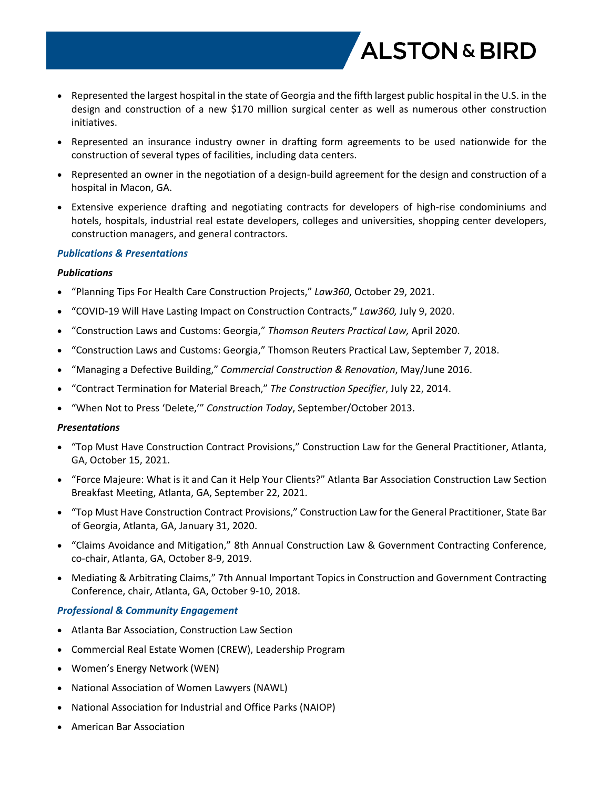

- Represented the largest hospital in the state of Georgia and the fifth largest public hospital in the U.S. in the design and construction of a new \$170 million surgical center as well as numerous other construction initiatives.
- Represented an insurance industry owner in drafting form agreements to be used nationwide for the construction of several types of facilities, including data centers.
- Represented an owner in the negotiation of a design-build agreement for the design and construction of a hospital in Macon, GA.
- Extensive experience drafting and negotiating contracts for developers of high-rise condominiums and hotels, hospitals, industrial real estate developers, colleges and universities, shopping center developers, construction managers, and general contractors.

## *Publications & Presentations*

## *Publications*

- "Planning Tips For Health Care Construction Projects," *Law360*, October 29, 2021.
- "COVID-19 Will Have Lasting Impact on Construction Contracts," *Law360,* July 9, 2020.
- "Construction Laws and Customs: Georgia," *Thomson Reuters Practical Law,* April 2020.
- "Construction Laws and Customs: Georgia," Thomson Reuters Practical Law, September 7, 2018.
- "Managing a Defective Building," *Commercial Construction & Renovation*, May/June 2016.
- "Contract Termination for Material Breach," *The Construction Specifier*, July 22, 2014.
- "When Not to Press 'Delete,'" *Construction Today*, September/October 2013.

#### *Presentations*

- "Top Must Have Construction Contract Provisions," Construction Law for the General Practitioner, Atlanta, GA, October 15, 2021.
- "Force Majeure: What is it and Can it Help Your Clients?" Atlanta Bar Association Construction Law Section Breakfast Meeting, Atlanta, GA, September 22, 2021.
- "Top Must Have Construction Contract Provisions," Construction Law for the General Practitioner, State Bar of Georgia, Atlanta, GA, January 31, 2020.
- "Claims Avoidance and Mitigation," 8th Annual Construction Law & Government Contracting Conference, co-chair, Atlanta, GA, October 8-9, 2019.
- Mediating & Arbitrating Claims," 7th Annual Important Topics in Construction and Government Contracting Conference, chair, Atlanta, GA, October 9-10, 2018.

## *Professional & Community Engagement*

- Atlanta Bar Association, Construction Law Section
- Commercial Real Estate Women (CREW), Leadership Program
- Women's Energy Network (WEN)
- National Association of Women Lawyers (NAWL)
- National Association for Industrial and Office Parks (NAIOP)
- American Bar Association